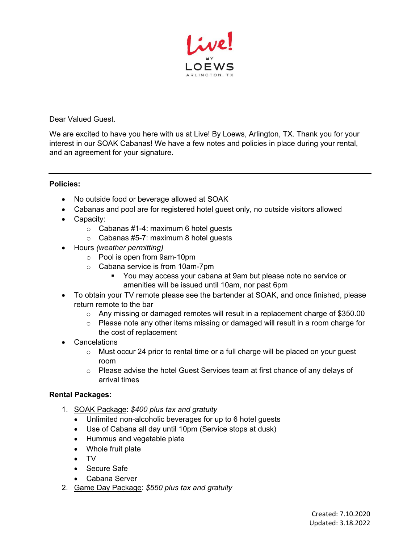

Dear Valued Guest.

We are excited to have you here with us at Live! By Loews, Arlington, TX. Thank you for your interest in our SOAK Cabanas! We have a few notes and policies in place during your rental, and an agreement for your signature.

## **Policies:**

- No outside food or beverage allowed at SOAK
- Cabanas and pool are for registered hotel guest only, no outside visitors allowed
- Capacity:
	- $\circ$  Cabanas #1-4: maximum 6 hotel guests
	- o Cabanas #5-7: maximum 8 hotel guests
- Hours *(weather permitting)*
	- o Pool is open from 9am-10pm
	- o Cabana service is from 10am-7pm
		- You may access your cabana at 9am but please note no service or amenities will be issued until 10am, nor past 6pm
- To obtain your TV remote please see the bartender at SOAK, and once finished, please return remote to the bar
	- $\circ$  Any missing or damaged remotes will result in a replacement charge of \$350.00
	- o Please note any other items missing or damaged will result in a room charge for the cost of replacement
- Cancelations
	- $\circ$  Must occur 24 prior to rental time or a full charge will be placed on your quest room
	- $\circ$  Please advise the hotel Guest Services team at first chance of any delays of arrival times

## **Rental Packages:**

- 1. SOAK Package: *\$400 plus tax and gratuity*
	- Unlimited non-alcoholic beverages for up to 6 hotel guests
	- Use of Cabana all day until 10pm (Service stops at dusk)
	- Hummus and vegetable plate
	- Whole fruit plate
	- TV
	- Secure Safe
	- Cabana Server
- 2. Game Day Package: *\$550 plus tax and gratuity*